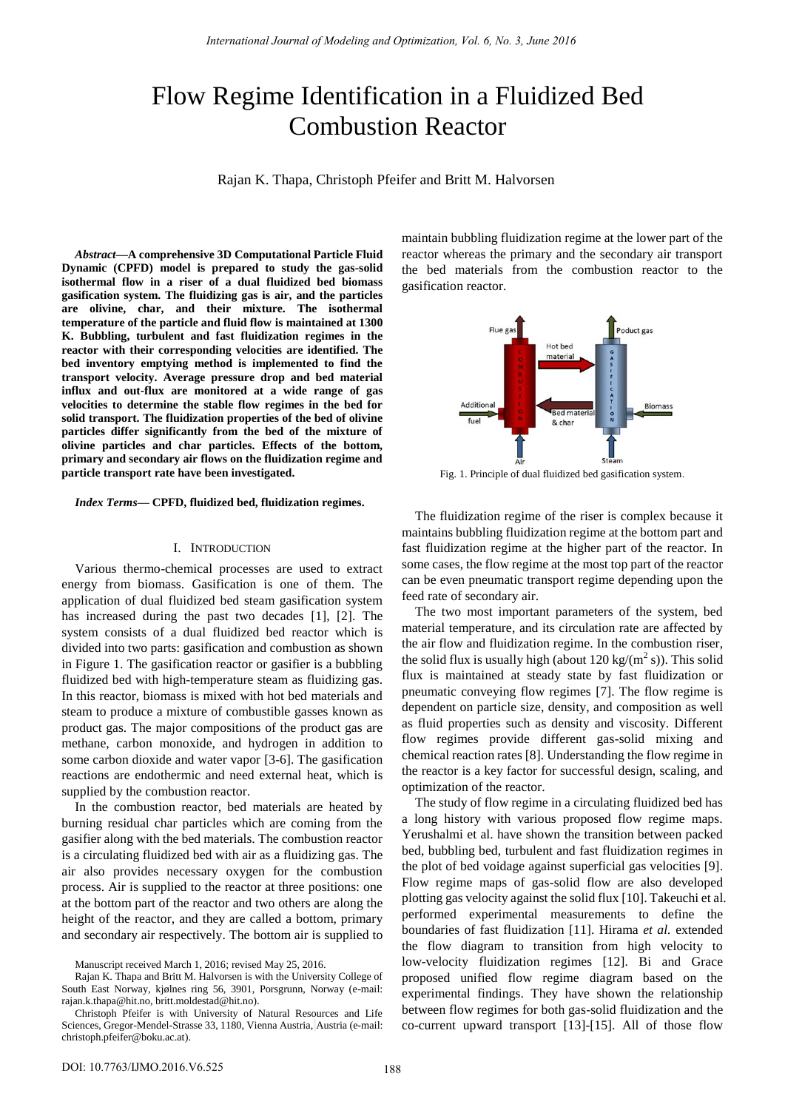# Flow Regime Identification in a Fluidized Bed Combustion Reactor

Rajan K. Thapa, Christoph Pfeifer and Britt M. Halvorsen

*Abstract***—A comprehensive 3D Computational Particle Fluid Dynamic (CPFD) model is prepared to study the gas-solid isothermal flow in a riser of a dual fluidized bed biomass gasification system. The fluidizing gas is air, and the particles are olivine, char, and their mixture. The isothermal temperature of the particle and fluid flow is maintained at 1300 K. Bubbling, turbulent and fast fluidization regimes in the reactor with their corresponding velocities are identified. The bed inventory emptying method is implemented to find the transport velocity. Average pressure drop and bed material influx and out-flux are monitored at a wide range of gas velocities to determine the stable flow regimes in the bed for solid transport. The fluidization properties of the bed of olivine particles differ significantly from the bed of the mixture of olivine particles and char particles. Effects of the bottom, primary and secondary air flows on the fluidization regime and particle transport rate have been investigated.** 

*Index Terms***— CPFD, fluidized bed, fluidization regimes.** 

#### I. INTRODUCTION

Various thermo-chemical processes are used to extract energy from biomass. Gasification is one of them. The application of dual fluidized bed steam gasification system has increased during the past two decades [1], [2]. The system consists of a dual fluidized bed reactor which is divided into two parts: gasification and combustion as shown in Figure 1. The gasification reactor or gasifier is a bubbling fluidized bed with high-temperature steam as fluidizing gas. In this reactor, biomass is mixed with hot bed materials and steam to produce a mixture of combustible gasses known as product gas. The major compositions of the product gas are methane, carbon monoxide, and hydrogen in addition to some carbon dioxide and water vapor [3-6]. The gasification reactions are endothermic and need external heat, which is supplied by the combustion reactor.

In the combustion reactor, bed materials are heated by burning residual char particles which are coming from the gasifier along with the bed materials. The combustion reactor is a circulating fluidized bed with air as a fluidizing gas. The air also provides necessary oxygen for the combustion process. Air is supplied to the reactor at three positions: one at the bottom part of the reactor and two others are along the height of the reactor, and they are called a bottom, primary and secondary air respectively. The bottom air is supplied to maintain bubbling fluidization regime at the lower part of the reactor whereas the primary and the secondary air transport the bed materials from the combustion reactor to the gasification reactor.



Fig. 1. Principle of dual fluidized bed gasification system.

The fluidization regime of the riser is complex because it maintains bubbling fluidization regime at the bottom part and fast fluidization regime at the higher part of the reactor. In some cases, the flow regime at the most top part of the reactor can be even pneumatic transport regime depending upon the feed rate of secondary air.

The two most important parameters of the system, bed material temperature, and its circulation rate are affected by the air flow and fluidization regime. In the combustion riser, the solid flux is usually high (about  $120 \text{ kg/(m}^2 \text{ s})$ ). This solid flux is maintained at steady state by fast fluidization or pneumatic conveying flow regimes [7]. The flow regime is dependent on particle size, density, and composition as well as fluid properties such as density and viscosity. Different flow regimes provide different gas-solid mixing and chemical reaction rates [8]. Understanding the flow regime in the reactor is a key factor for successful design, scaling, and optimization of the reactor.

The study of flow regime in a circulating fluidized bed has a long history with various proposed flow regime maps. Yerushalmi et al. have shown the transition between packed bed, bubbling bed, turbulent and fast fluidization regimes in the plot of bed voidage against superficial gas velocities [9]. Flow regime maps of gas-solid flow are also developed plotting gas velocity against the solid flux [10]. Takeuchi et al. performed experimental measurements to define the boundaries of fast fluidization [11]. Hirama *et al.* extended the flow diagram to transition from high velocity to low-velocity fluidization regimes [12]. Bi and Grace proposed unified flow regime diagram based on the experimental findings. They have shown the relationship between flow regimes for both gas-solid fluidization and the co-current upward transport [13]-[15]. All of those flow

Manuscript received March 1, 2016; revised May 25, 2016.

Rajan K. Thapa and Britt M. Halvorsen is with the University College of South East Norway, kjølnes ring 56, 3901, Porsgrunn, Norway (e-mail: [rajan.k.thapa@hit.no,](mailto:rajan.k.thapa@hit.no) [britt.moldestad@hit.no\)](mailto:britt.moldestad@hit.no).

Christoph Pfeifer is with University of Natural Resources and Life Sciences, Gregor-Mendel-Strasse 33, 1180, Vienna Austria, Austria (e-mail: [christoph.pfeifer@boku.ac.at\)](mailto:christoph.pfeifer@boku.ac.at).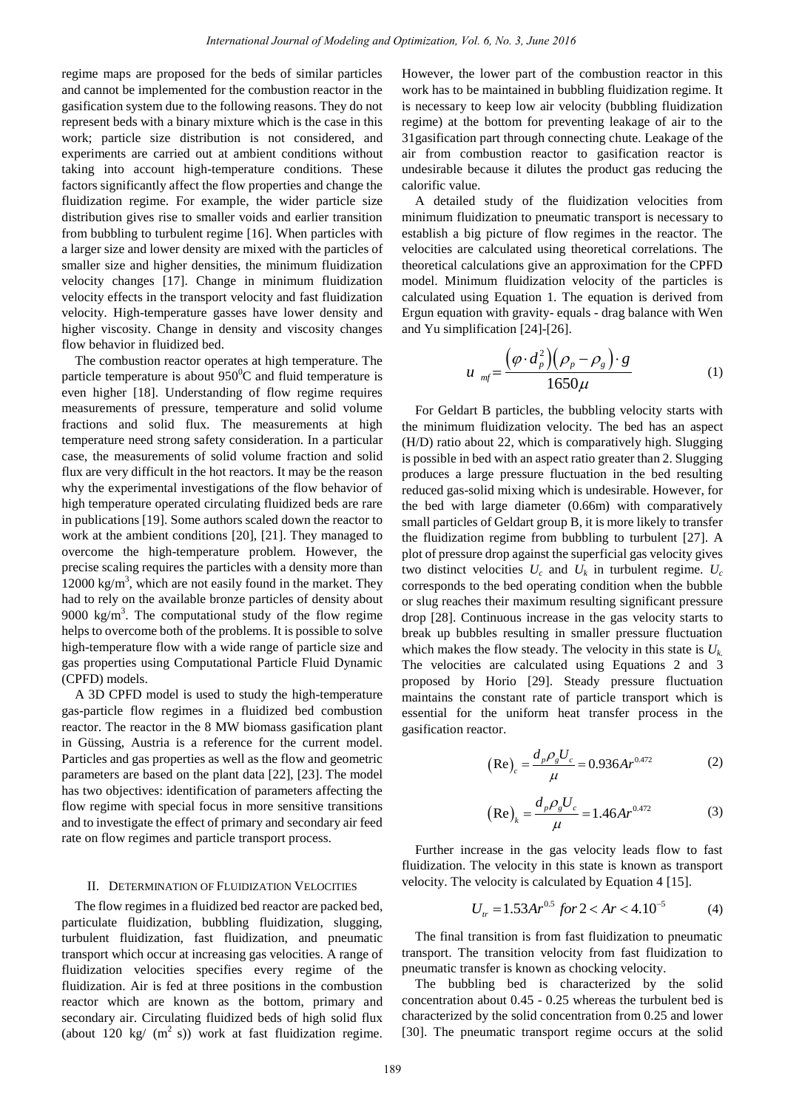regime maps are proposed for the beds of similar particles and cannot be implemented for the combustion reactor in the gasification system due to the following reasons. They do not represent beds with a binary mixture which is the case in this work; particle size distribution is not considered, and experiments are carried out at ambient conditions without taking into account high-temperature conditions. These factors significantly affect the flow properties and change the fluidization regime. For example, the wider particle size distribution gives rise to smaller voids and earlier transition from bubbling to turbulent regime [16]. When particles with a larger size and lower density are mixed with the particles of smaller size and higher densities, the minimum fluidization velocity changes [17]. Change in minimum fluidization velocity effects in the transport velocity and fast fluidization velocity. High-temperature gasses have lower density and higher viscosity. Change in density and viscosity changes flow behavior in fluidized bed.

The combustion reactor operates at high temperature. The particle temperature is about  $950^{\circ}$ C and fluid temperature is even higher [18]. Understanding of flow regime requires measurements of pressure, temperature and solid volume fractions and solid flux. The measurements at high temperature need strong safety consideration. In a particular case, the measurements of solid volume fraction and solid flux are very difficult in the hot reactors. It may be the reason why the experimental investigations of the flow behavior of high temperature operated circulating fluidized beds are rare in publications [19]. Some authors scaled down the reactor to work at the ambient conditions [20], [21]. They managed to overcome the high-temperature problem. However, the precise scaling requires the particles with a density more than 12000 kg/m<sup>3</sup>, which are not easily found in the market. They had to rely on the available bronze particles of density about 9000 kg/m<sup>3</sup>. The computational study of the flow regime helps to overcome both of the problems. It is possible to solve high-temperature flow with a wide range of particle size and gas properties using Computational Particle Fluid Dynamic (CPFD) models. *International Journal of Modeling and Optimization, Vol. 6, No. 3, June 2016*<br>for the beat of similar particles. However, the lowever, the lowever and the field of the conduction reactor in the work has to be maintained

A 3D CPFD model is used to study the high-temperature gas-particle flow regimes in a fluidized bed combustion reactor. The reactor in the 8 MW biomass gasification plant in Güssing, Austria is a reference for the current model. Particles and gas properties as well as the flow and geometric parameters are based on the plant data [22], [23]. The model has two objectives: identification of parameters affecting the flow regime with special focus in more sensitive transitions and to investigate the effect of primary and secondary air feed rate on flow regimes and particle transport process.

## II. DETERMINATION OF FLUIDIZATION VELOCITIES

The flow regimes in a fluidized bed reactor are packed bed, particulate fluidization, bubbling fluidization, slugging, turbulent fluidization, fast fluidization, and pneumatic transport which occur at increasing gas velocities. A range of fluidization velocities specifies every regime of the fluidization. Air is fed at three positions in the combustion reactor which are known as the bottom, primary and secondary air. Circulating fluidized beds of high solid flux (about 120 kg/  $(m^2 s)$ ) work at fast fluidization regime.

However, the lower part of the combustion reactor in this work has to be maintained in bubbling fluidization regime. It is necessary to keep low air velocity (bubbling fluidization regime) at the bottom for preventing leakage of air to the 31gasification part through connecting chute. Leakage of the air from combustion reactor to gasification reactor is undesirable because it dilutes the product gas reducing the calorific value.

A detailed study of the fluidization velocities from minimum fluidization to pneumatic transport is necessary to establish a big picture of flow regimes in the reactor. The velocities are calculated using theoretical correlations. The theoretical calculations give an approximation for the CPFD model. Minimum fluidization velocity of the particles is calculated using Equation 1. The equation is derived from Ergun equation with gravity- equals - drag balance with Wen and Yu simplification [24]-[26].

$$
u_{mf} = \frac{(\varphi \cdot d_p^2)(\rho_p - \rho_g) \cdot g}{1650\mu} \tag{1}
$$

For Geldart B particles, the bubbling velocity starts with the minimum fluidization velocity. The bed has an aspect (H/D) ratio about 22, which is comparatively high. Slugging is possible in bed with an aspect ratio greater than 2. Slugging produces a large pressure fluctuation in the bed resulting reduced gas-solid mixing which is undesirable. However, for the bed with large diameter (0.66m) with comparatively small particles of Geldart group B, it is more likely to transfer the fluidization regime from bubbling to turbulent [27]. A plot of pressure drop against the superficial gas velocity gives two distinct velocities  $U_c$  and  $U_k$  in turbulent regime.  $U_c$ corresponds to the bed operating condition when the bubble or slug reaches their maximum resulting significant pressure drop [28]. Continuous increase in the gas velocity starts to break up bubbles resulting in smaller pressure fluctuation which makes the flow steady. The velocity in this state is *Uk.* The velocities are calculated using Equations 2 and 3 proposed by Horio [29]. Steady pressure fluctuation maintains the constant rate of particle transport which is essential for the uniform heat transfer process in the gasification reactor.

$$
\left(\text{Re}\right)_c = \frac{d_p \rho_g U_c}{\mu} = 0.936 A r^{0.472} \tag{2}
$$

$$
\left(\text{Re}\right)_k = \frac{d_p \rho_g U_c}{\mu} = 1.46 A r^{0.472} \tag{3}
$$

Further increase in the gas velocity leads flow to fast fluidization. The velocity in this state is known as transport velocity. The velocity is calculated by Equation 4 [15].

$$
U_{tr} = 1.53Ar^{0.5} \text{ for } 2 < Ar < 4.10^{-5} \tag{4}
$$

The final transition is from fast fluidization to pneumatic transport. The transition velocity from fast fluidization to pneumatic transfer is known as chocking velocity.

The bubbling bed is characterized by the solid concentration about 0.45 - 0.25 whereas the turbulent bed is characterized by the solid concentration from 0.25 and lower [30]. The pneumatic transport regime occurs at the solid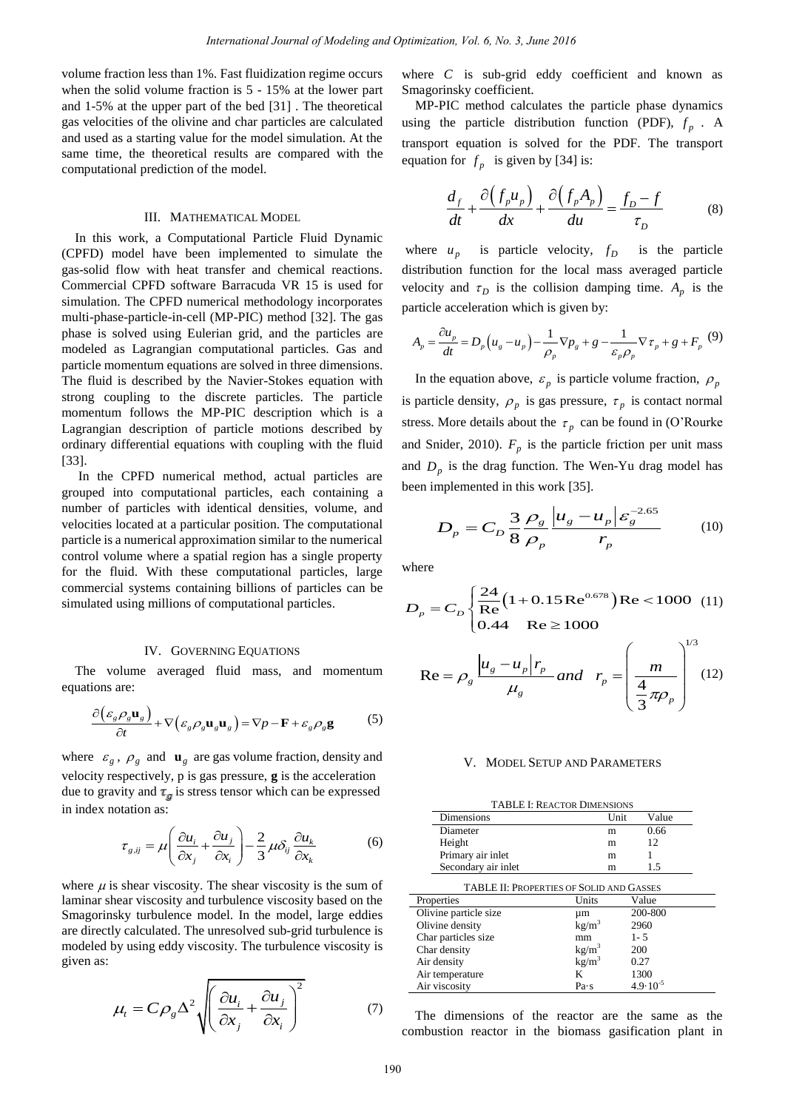volume fraction less than 1%. Fast fluidization regime occurs when the solid volume fraction is 5 - 15% at the lower part and 1-5% at the upper part of the bed [31] . The theoretical gas velocities of the olivine and char particles are calculated and used as a starting value for the model simulation. At the same time, the theoretical results are compared with the computational prediction of the model.

#### III. MATHEMATICAL MODEL

In this work, a Computational Particle Fluid Dynamic (CPFD) model have been implemented to simulate the gas-solid flow with heat transfer and chemical reactions. Commercial CPFD software Barracuda VR 15 is used for simulation. The CPFD numerical methodology incorporates multi-phase-particle-in-cell (MP-PIC) method [32]. The gas phase is solved using Eulerian grid, and the particles are modeled as Lagrangian computational particles. Gas and particle momentum equations are solved in three dimensions. The fluid is described by the Navier-Stokes equation with strong coupling to the discrete particles. The particle momentum follows the MP-PIC description which is a Lagrangian description of particle motions described by ordinary differential equations with coupling with the fluid [33]. *International Journal of Modeling and Optimization, Vol. 6, No. 3, June 2016*<br>
International region control where C is subgired eddy<br>
in Fact Thirduration region control where the C is subgired eddy<br>
of the best particle

 In the CPFD numerical method, actual particles are grouped into computational particles, each containing a number of particles with identical densities, volume, and velocities located at a particular position. The computational particle is a numerical approximation similar to the numerical control volume where a spatial region has a single property for the fluid. With these computational particles, large commercial systems containing billions of particles can be simulated using millions of computational particles.

### IV. GOVERNING EQUATIONS

The volume averaged fluid mass, and momentum equations are:

$$
\frac{\partial (\varepsilon_g \rho_g \mathbf{u}_g)}{\partial t} + \nabla (\varepsilon_g \rho_g \mathbf{u}_g \mathbf{u}_g) = \nabla p - \mathbf{F} + \varepsilon_g \rho_g \mathbf{g}
$$
 (5)

where  $\varepsilon_g$ ,  $\rho_g$  and  $\mathbf{u}_g$  are gas volume fraction, density and velocity respectively, p is gas pressure, **g** is the acceleration due to gravity and  $\tau_{g}$  is stress tensor which can be expressed in index notation as:

$$
\tau_{g,ij} = \mu \left( \frac{\partial u_i}{\partial x_j} + \frac{\partial u_j}{\partial x_i} \right) - \frac{2}{3} \mu \delta_{ij} \frac{\partial u_k}{\partial x_k}
$$
(6)

where  $\mu$  is shear viscosity. The shear viscosity is the sum of laminar shear viscosity and turbulence viscosity based on the Smagorinsky turbulence model. In the model, large eddies are directly calculated. The unresolved sub-grid turbulence is modeled by using eddy viscosity. The turbulence viscosity is given as:

$$
\mu_{t} = C \rho_{g} \Delta^{2} \sqrt{\left(\frac{\partial u_{i}}{\partial x_{j}} + \frac{\partial u_{j}}{\partial x_{i}}\right)^{2}}
$$
(7)

where *C* is sub-grid eddy coefficient and known as Smagorinsky coefficient.

MP-PIC method calculates the particle phase dynamics using the particle distribution function (PDF),  $f_p$ . A transport equation is solved for the PDF. The transport equation for  $f_p$  is given by [34] is:

$$
\frac{d_f}{dt} + \frac{\partial (f_p u_p)}{dx} + \frac{\partial (f_p A_p)}{du} = \frac{f_p - f}{\tau_p}
$$
 (8)

where  $u_p$  is particle velocity,  $f_p$  is the particle distribution function for the local mass averaged particle velocity and  $\tau_D$  is the collision damping time.  $A_p$  is the particle acceleration which is given by:

$$
A_p = \frac{\partial u_p}{dt} = D_p \left( u_g - u_p \right) - \frac{1}{\rho_p} \nabla p_g + g - \frac{1}{\varepsilon_p \rho_p} \nabla \tau_p + g + F_p \tag{9}
$$

In the equation above,  $\varepsilon_p$  is particle volume fraction,  $\rho_p$ is particle density,  $\rho_p$  is gas pressure,  $\tau_p$  is contact normal stress. More details about the  $\tau_p$  can be found in (O'Rourke [and Snider, 2010\)](#page-6-0).  $F_p$  is the particle friction per unit mass and  $D_p$  is the drag function. The Wen-Yu drag model has been implemented in this work [35].

$$
D_p = C_D \frac{3}{8} \frac{\rho_g}{\rho_p} \frac{\left| u_g - u_p \right| \varepsilon_g^{-2.65}}{r_p} \tag{10}
$$

where

$$
D_p = C_D \begin{cases} \frac{24}{\text{Re}} \left( 1 + 0.15 \,\text{Re}^{0.678} \right) \text{Re} < 1000 \\ 0.44 \quad \text{Re} \ge 1000 \end{cases} \tag{11}
$$

$$
\text{Re} = \rho_g \frac{|u_g - u_p| r_p}{\mu_g} \text{ and } r_p = \left(\frac{m}{\frac{4}{3}\pi \rho_p}\right)^{1/3} (12)
$$

## V. MODEL SETUP AND PARAMETERS

TABLE I: REACTOR DIMENSIONS

| I ADLE I. NEACTOR DIMENSIONS                    |                   |                     |  |
|-------------------------------------------------|-------------------|---------------------|--|
| Dimensions                                      | Unit              | Value               |  |
| Diameter                                        | m                 | 0.66                |  |
| Height                                          | m                 | 12                  |  |
| Primary air inlet                               | m                 | 1                   |  |
| Secondary air inlet                             | m                 | 1.5                 |  |
| <b>TABLE II: PROPERTIES OF SOLID AND GASSES</b> |                   |                     |  |
| Properties                                      | Units             | Value               |  |
| Olivine particle size                           | μm                | 200-800             |  |
| Olivine density                                 | kg/m <sup>3</sup> | 2960                |  |
| Char particles size                             | mm                | $1 - 5$             |  |
| Char density                                    | kg/m <sup>3</sup> | 200                 |  |
| Air density                                     | $\text{kg/m}^3$   | 0.27                |  |
| Air temperature                                 | K                 | 1300                |  |
| Air viscosity                                   | Pa s              | $4.9 \cdot 10^{-5}$ |  |

The dimensions of the reactor are the same as the combustion reactor in the biomass gasification plant in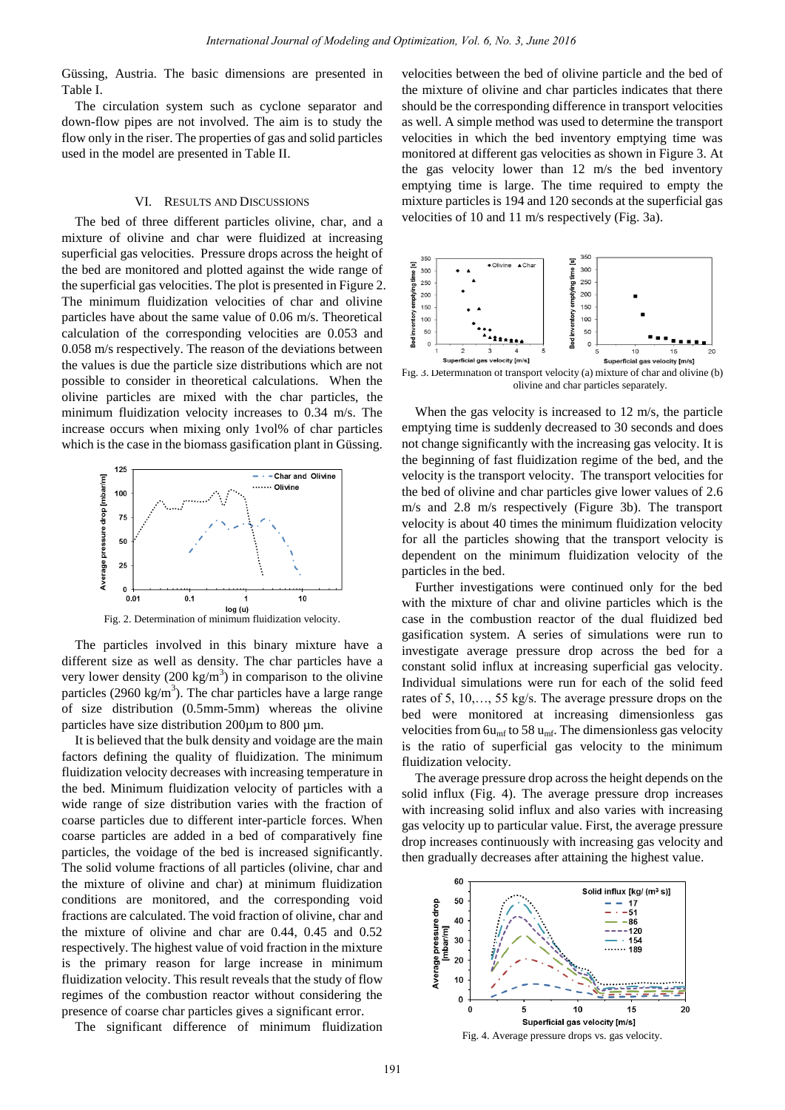Güssing, Austria. The basic dimensions are presented in Table I.

The circulation system such as cyclone separator and down-flow pipes are not involved. The aim is to study the flow only in the riser. The properties of gas and solid particles used in the model are presented in Table II.

### VI. RESULTS AND DISCUSSIONS

The bed of three different particles olivine, char, and a mixture of olivine and char were fluidized at increasing superficial gas velocities. Pressure drops across the height of the bed are monitored and plotted against the wide range of the superficial gas velocities. The plot is presented in Figure 2. The minimum fluidization velocities of char and olivine particles have about the same value of 0.06 m/s. Theoretical calculation of the corresponding velocities are 0.053 and 0.058 m/s respectively. The reason of the deviations between the values is due the particle size distributions which are not possible to consider in theoretical calculations. When the olivine particles are mixed with the char particles, the minimum fluidization velocity increases to 0.34 m/s. The increase occurs when mixing only 1vol% of char particles which is the case in the biomass gasification plant in Güssing.



The particles involved in this binary mixture have a different size as well as density. The char particles have a very lower density  $(200 \text{ kg/m}^3)$  in comparison to the olivine particles (2960 kg/m<sup>3</sup>). The char particles have a large range of size distribution (0.5mm-5mm) whereas the olivine particles have size distribution 200  $\mu$ m to 800  $\mu$ m.

It is believed that the bulk density and voidage are the main factors defining the quality of fluidization. The minimum fluidization velocity decreases with increasing temperature in the bed. Minimum fluidization velocity of particles with a wide range of size distribution varies with the fraction of coarse particles due to different inter-particle forces. When coarse particles are added in a bed of comparatively fine particles, the voidage of the bed is increased significantly. The solid volume fractions of all particles (olivine, char and the mixture of olivine and char) at minimum fluidization conditions are monitored, and the corresponding void fractions are calculated. The void fraction of olivine, char and the mixture of olivine and char are 0.44, 0.45 and 0.52 respectively. The highest value of void fraction in the mixture is the primary reason for large increase in minimum fluidization velocity. This result reveals that the study of flow regimes of the combustion reactor without considering the presence of coarse char particles gives a significant error. *International Journal of Modeling and Optimization, Vol. 6, No. 3, June 2018*<br>
ide dimensions are presentate in the control behavior of the state of ordinal of Modeling University and shade the state of Modeling Universi

The significant difference of minimum fluidization

velocities between the bed of olivine particle and the bed of the mixture of olivine and char particles indicates that there should be the corresponding difference in transport velocities as well. A simple method was used to determine the transport velocities in which the bed inventory emptying time was monitored at different gas velocities as shown in Figure 3. At the gas velocity lower than 12 m/s the bed inventory emptying time is large. The time required to empty the mixture particles is 194 and 120 seconds at the superficial gas velocities of 10 and 11 m/s respectively (Fig. 3a).



Fig. 3. Determination of transport velocity (a) mixture of char and olivine (b) olivine and char particles separately.

When the gas velocity is increased to 12 m/s, the particle emptying time is suddenly decreased to 30 seconds and does not change significantly with the increasing gas velocity. It is the beginning of fast fluidization regime of the bed, and the velocity is the transport velocity. The transport velocities for the bed of olivine and char particles give lower values of 2.6 m/s and 2.8 m/s respectively (Figure 3b). The transport velocity is about 40 times the minimum fluidization velocity for all the particles showing that the transport velocity is dependent on the minimum fluidization velocity of the particles in the bed.

Further investigations were continued only for the bed with the mixture of char and olivine particles which is the case in the combustion reactor of the dual fluidized bed gasification system. A series of simulations were run to investigate average pressure drop across the bed for a constant solid influx at increasing superficial gas velocity. Individual simulations were run for each of the solid feed rates of 5, 10,…, 55 kg/s. The average pressure drops on the bed were monitored at increasing dimensionless gas velocities from  $6u_{\rm mf}$  to 58  $u_{\rm mf}$ . The dimensionless gas velocity is the ratio of superficial gas velocity to the minimum fluidization velocity.

The average pressure drop across the height depends on the solid influx (Fig. 4). The average pressure drop increases with increasing solid influx and also varies with increasing gas velocity up to particular value. First, the average pressure drop increases continuously with increasing gas velocity and then gradually decreases after attaining the highest value.

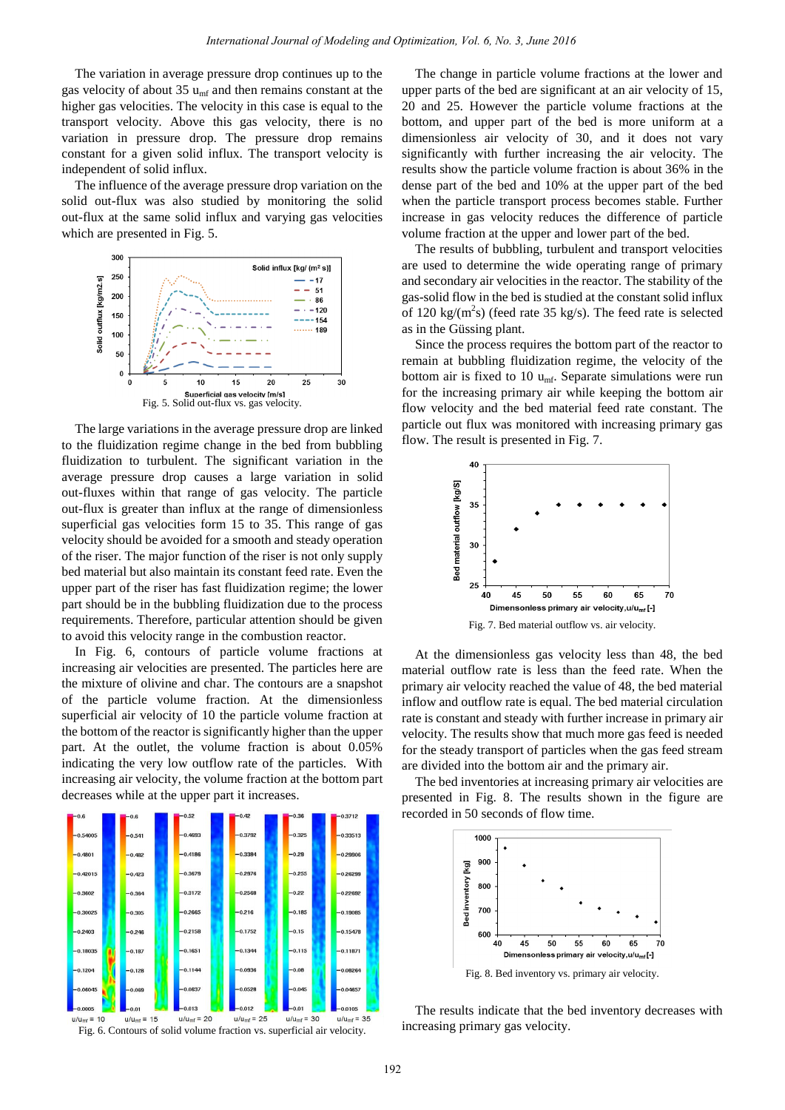The variation in average pressure drop continues up to the gas velocity of about 35  $u_{\text{mf}}$  and then remains constant at the higher gas velocities. The velocity in this case is equal to the transport velocity. Above this gas velocity, there is no variation in pressure drop. The pressure drop remains constant for a given solid influx. The transport velocity is independent of solid influx.

The influence of the average pressure drop variation on the solid out-flux was also studied by monitoring the solid out-flux at the same solid influx and varying gas velocities which are presented in Fig. 5.



The large variations in the average pressure drop are linked to the fluidization regime change in the bed from bubbling fluidization to turbulent. The significant variation in the average pressure drop causes a large variation in solid out-fluxes within that range of gas velocity. The particle out-flux is greater than influx at the range of dimensionless superficial gas velocities form 15 to 35. This range of gas velocity should be avoided for a smooth and steady operation of the riser. The major function of the riser is not only supply bed material but also maintain its constant feed rate. Even the upper part of the riser has fast fluidization regime; the lower part should be in the bubbling fluidization due to the process requirements. Therefore, particular attention should be given to avoid this velocity range in the combustion reactor.

In Fig. 6, contours of particle volume fractions at increasing air velocities are presented. The particles here are the mixture of olivine and char. The contours are a snapshot of the particle volume fraction. At the dimensionless superficial air velocity of 10 the particle volume fraction at the bottom of the reactor is significantly higher than the upper part. At the outlet, the volume fraction is about 0.05% indicating the very low outflow rate of the particles. With increasing air velocity, the volume fraction at the bottom part decreases while at the upper part it increases.



The change in particle volume fractions at the lower and upper parts of the bed are significant at an air velocity of 15, 20 and 25. However the particle volume fractions at the bottom, and upper part of the bed is more uniform at a dimensionless air velocity of 30, and it does not vary significantly with further increasing the air velocity. The results show the particle volume fraction is about 36% in the dense part of the bed and 10% at the upper part of the bed when the particle transport process becomes stable. Further increase in gas velocity reduces the difference of particle volume fraction at the upper and lower part of the bed.

The results of bubbling, turbulent and transport velocities are used to determine the wide operating range of primary and secondary air velocities in the reactor. The stability of the gas-solid flow in the bed is studied at the constant solid influx of 120 kg/( $m^2$ s) (feed rate 35 kg/s). The feed rate is selected as in the Güssing plant.

Since the process requires the bottom part of the reactor to remain at bubbling fluidization regime, the velocity of the bottom air is fixed to 10  $u_{\text{mf}}$ . Separate simulations were run for the increasing primary air while keeping the bottom air flow velocity and the bed material feed rate constant. The particle out flux was monitored with increasing primary gas flow. The result is presented in Fig. 7.



Fig. 7. Bed material outflow vs. air velocity.

At the dimensionless gas velocity less than 48, the bed material outflow rate is less than the feed rate. When the primary air velocity reached the value of 48, the bed material inflow and outflow rate is equal. The bed material circulation rate is constant and steady with further increase in primary air velocity. The results show that much more gas feed is needed for the steady transport of particles when the gas feed stream are divided into the bottom air and the primary air.

The bed inventories at increasing primary air velocities are presented in Fig. 8. The results shown in the figure are recorded in 50 seconds of flow time.



Fig. 8. Bed inventory vs. primary air velocity.

The results indicate that the bed inventory decreases with increasing primary gas velocity.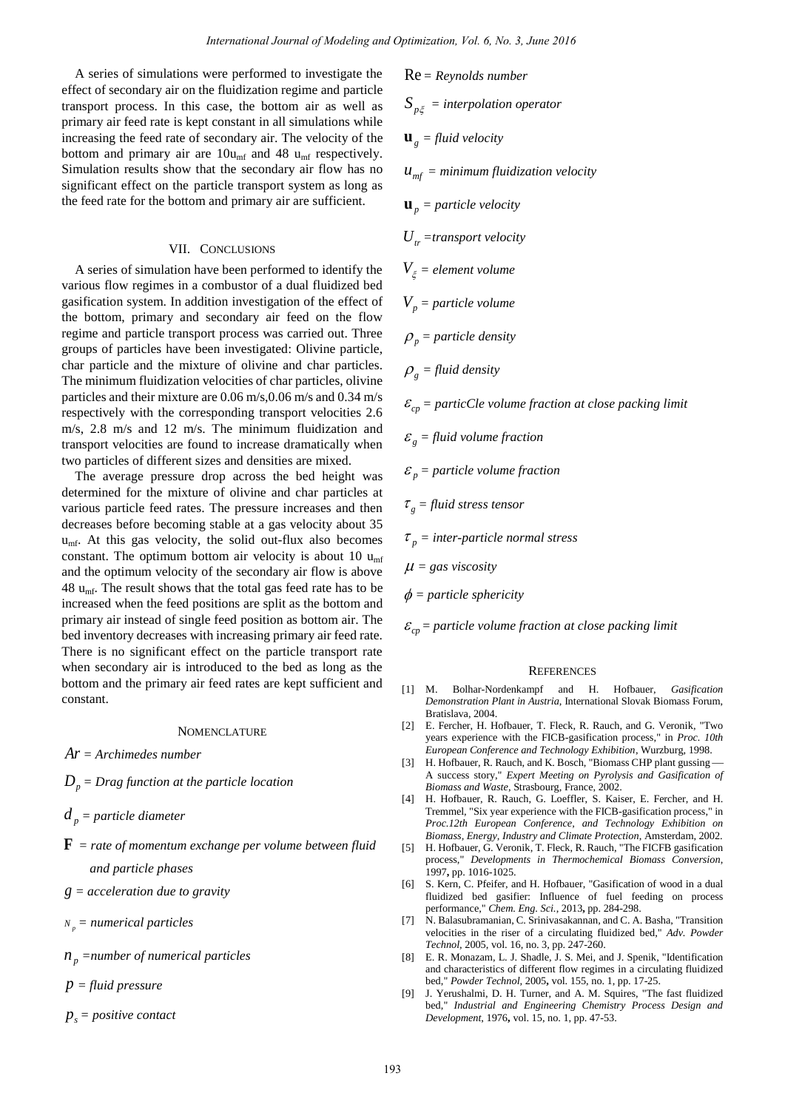A series of simulations were performed to investigate the effect of secondary air on the fluidization regime and particle transport process. In this case, the bottom air as well as primary air feed rate is kept constant in all simulations while increasing the feed rate of secondary air. The velocity of the bottom and primary air are  $10u_{\text{mf}}$  and 48  $u_{\text{mf}}$  respectively. Simulation results show that the secondary air flow has no significant effect on the particle transport system as long as the feed rate for the bottom and primary air are sufficient.

# VII. CONCLUSIONS

A series of simulation have been performed to identify the various flow regimes in a combustor of a dual fluidized bed gasification system. In addition investigation of the effect of the bottom, primary and secondary air feed on the flow regime and particle transport process was carried out. Three groups of particles have been investigated: Olivine particle, char particle and the mixture of olivine and char particles. The minimum fluidization velocities of char particles, olivine particles and their mixture are 0.06 m/s,0.06 m/s and 0.34 m/s respectively with the corresponding transport velocities 2.6 m/s, 2.8 m/s and 12 m/s. The minimum fluidization and transport velocities are found to increase dramatically when two particles of different sizes and densities are mixed.

The average pressure drop across the bed height was determined for the mixture of olivine and char particles at various particle feed rates. The pressure increases and then decreases before becoming stable at a gas velocity about 35 umf. At this gas velocity, the solid out-flux also becomes constant. The optimum bottom air velocity is about 10  $u_{\text{mf}}$ and the optimum velocity of the secondary air flow is above 48  $u_{\text{mf}}$ . The result shows that the total gas feed rate has to be increased when the feed positions are split as the bottom and primary air instead of single feed position as bottom air. The bed inventory decreases with increasing primary air feed rate. There is no significant effect on the particle transport rate when secondary air is introduced to the bed as long as the bottom and the primary air feed rates are kept sufficient and constant.

# **NOMENCLATURE**

*Ar = Archimedes number* 

 $D_p$  = Drag function at the particle location

 $d<sub>n</sub>$  *= particle diameter* 

- **F** *= rate of momentum exchange per volume between fluid and particle phases*
- *g = acceleration due to gravity*

*p <sup>N</sup> = numerical particles* 

*<sup>p</sup> n =number of numerical particles* 

*p = fluid pressure* 

 $p_s = positive \; contact$ 

*International Journal of Modeling and Optimization, Vol. 6, No. 3, June 2016*  
were performed to investigate the  
the fluidization regime and particle 
$$
R = R
$$
eryndids number  
cosant in all simulations while  
constant in all simulations while  
1 constant and simulation is  
1. The velocity of the  
10mu and 48  $u_{\text{int}}$  respectively.  
  
the 100mu and 48  $u_{\text{int}}$  respectively.  
  
the secondary air flow has no  
and primary air are sufficient.  
  
the secondary system as long as  
and primary air are sufficient.  
  
the second system is flow has no  
and primary air are sufficient.  
  
the two-dimensional  
of the effect of  $V_p = particle volume$   
of of time and can be a  
reduces  
to provide and to the particle  
the  
recess was carried out. Three  
the  
recess was carried out. Three  
the  
recess was carried out. Three  
the  
recess was carried out. Three  
the  
reduces of the particles, olivine  
of the particle is a  
the  
isophig transport velocities at  
 $E_p = particle volume fraction$   
of of the particle is at  
the solid out-flux also becomes  
to do  
the secondary air flow is above  

$$
\mu = gas viscosity
$$
  
 $\mu_p = particle volume fraction$   
of the secondary air flow is above  

$$
\mu = gas viscosity
$$
  
  
and the two  
to have also becomes  
the  
to do  
the solid out-flux also becomes  

$$
\tau_p = inter-particle volume fraction
$$
  
of the secondary air field is not  
the total gas velocity about 10  
the  
isophigence as the bottom and  

$$
\phi = particle volume fraction
$$
  
and the secondary air field is not  
the total gas velocity about 35  
the solid out-flux also becomes  

$$
\tau_p = inter-particle volume fraction at close packing limitthe total gas level rate has to befrom air velocityis it is about 10the secondary air field is notto beto the particle transformof the secondary air field is notto beto be a long as theintercept rateof the secondary air field is notto beto be a long as theintercept rateof the secondary air field is notto be a long as theintercept rateof the twotransverse and the bottom andthe total mass (see Figure 161).in thisthe second gas level rateis athe total mass of thetransverse and thetransverse,  $E_p = particle volume,  $\mu$  is the  
the  
transverse principal field$
$$

 $\varepsilon_{cp}$  = *particle volume fraction at close packing limit* 

#### **REFERENCES**

- [1] M. Bolhar-Nordenkampf and H. Hofbauer, *Gasification Demonstration Plant in Austria*, International Slovak Biomass Forum, Bratislava, 2004.
- [2] E. Fercher, H. Hofbauer, T. Fleck, R. Rauch, and G. Veronik, "Two years experience with the FICB-gasification process," in *Proc. 10th European Conference and Technology Exhibition*, Wurzburg, 1998.
- [3] H. Hofbauer, R. Rauch, and K. Bosch, "Biomass CHP plant gussing -A success story," *Expert Meeting on Pyrolysis and Gasification of Biomass and Waste*, Strasbourg, France, 2002.
- [4] H. Hofbauer, R. Rauch, G. Loeffler, S. Kaiser, E. Fercher, and H. Tremmel, "Six year experience with the FICB-gasification process," in *Proc.12th European Conference, and Technology Exhibition on Biomass, Energy, Industry and Climate Protection*, Amsterdam, 2002.
- [5] H. Hofbauer, G. Veronik, T. Fleck, R. Rauch, "The FICFB gasification process," *Developments in Thermochemical Biomass Conversion*, 1997**,** pp. 1016-1025.
- [6] S. Kern, C. Pfeifer, and H. Hofbauer, "Gasification of wood in a dual fluidized bed gasifier: Influence of fuel feeding on process performance," *Chem. Eng. Sci.*, 2013**,** pp. 284-298.
- [7] N. Balasubramanian, C. Srinivasakannan, and C. A. Basha, "Transition velocities in the riser of a circulating fluidized bed," *Adv. Powder Technol,* 2005, vol. 16, no. 3, pp. 247-260.
- [8] E. R. Monazam, L. J. Shadle, J. S. Mei, and J. Spenik, "Identification and characteristics of different flow regimes in a circulating fluidized bed," *Powder Technol,* 2005**,** vol. 155, no. 1, pp. 17-25.
- [9] J. Yerushalmi, D. H. Turner, and A. M. Squires, "The fast fluidized bed," *Industrial and Engineering Chemistry Process Design and Development*, 1976**,** vol. 15, no. 1, pp. 47-53.